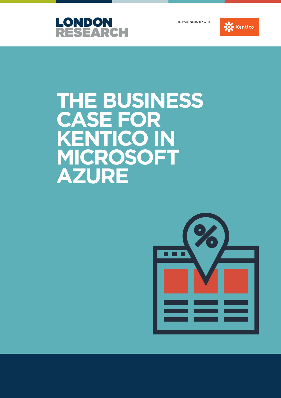

**ALC** Kentico



**THE BUSINESS CASE FOR KENTICO IN MICROSOFT AZURE** 

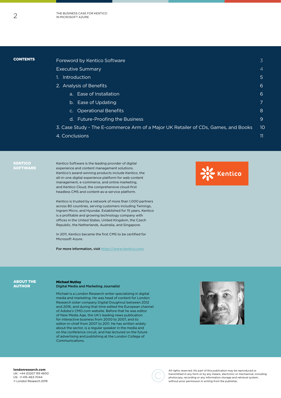#### **CONTENTS**

| Foreword by Kentico Software                                                       | 3              |
|------------------------------------------------------------------------------------|----------------|
| <b>Executive Summary</b>                                                           | $\overline{4}$ |
| <b>Introduction</b>                                                                | 5              |
| 2. Analysis of Benefits                                                            | 6              |
| a. Ease of Installation                                                            | 6              |
| b. Ease of Updating                                                                | 7              |
| <b>Operational Benefits</b><br>$C_{1}$                                             | 8              |
| d. Future-Proofing the Business                                                    | 9              |
| 3. Case Study - The E-commerce Arm of a Major UK Retailer of CDs, Games, and Books | 10             |
| 4. Conclusions                                                                     | 11             |

#### KENTICO **SOFTWARE**

Kentico Software is the leading provider of digital experience and content management solutions. Kentico's award-winning products include Kentico, the all-in-one digital experience platform for web content management, e-commerce, and online marketing, and Kentico Cloud, the comprehensive cloud-first headless CMS and content-as-a-service platform.

Kentico is trusted by a network of more than 1,000 partners across 80 countries, serving customers including Twinings, Ingram Micro, and Hyundai. Established for 15 years, Kentico is a profitable and growing technology company with offices in the United States, United Kingdom, the Czech Republic, the Netherlands, Australia, and Singapore.

In 2011, Kentico became the first CMS to be certified for Microsoft Azure.

For more information, visit https://www.kentico.com.



ABOUT THE AUTHOR

#### Michael Nutley Digital Media and Marketing Journalist

Michael is a London Research writer specializing in digital media and marketing. He was head of content for London Research sister company Digital Doughnut between 2012 and 2016, and during that time edited the European channel of Adobe's CMO.com website. Before that he was editor of New Media Age, the UK's leading news publication for interactive business from 2000 to 2007, and its editor-in-chief from 2007 to 2011. He has written widely about the sector, is a regular speaker in the media and on the conference circuit, and has lectured on the future of advertising and publishing at the London College of Communications.





All rights reserved. No part of this publication may be reproduced or transmitted in any form or by any means, electronic or mechanical, including photocopy, recording or any information storage and retrieval system, without prior permission in writing from the publisher.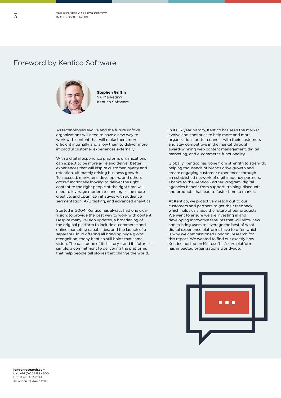### Foreword by Kentico Software



**Stephen Griffin** VP Marketing Kentico Software

As technologies evolve and the future unfolds, organizations will need to have a new way to work with content that will make them more efficient internally and allow them to deliver more impactful customer experiences externally.

With a digital experience platform, organizations can expect to be more agile and deliver better experiences that will inspire customer loyalty and retention, ultimately driving business growth. To succeed, marketers, developers, and others cross-functionally looking to deliver the right content to the right people at the right time will need to leverage modern technologies, be more creative, and optimize initiatives with audience segmentation, A/B testing, and advanced analytics.

Started in 2004, Kentico has always had one clear vision: to provide the best way to work with content. Despite many version updates, a broadening of the original platform to include e-commerce and online marketing capabilities, and the launch of a separate Cloud offering all bringing huge global recognition, today Kentico still holds that same vision. The backbone of its history – and its future – is simple: a commitment to delivering the platforms that help people tell stories that change the world.

In its 15-year history, Kentico has seen the market evolve and continues to help more and more organizations better connect with their customers and stay competitive in the market through award-winning web content management, digital marketing, and e-commerce functionality.

Globally, Kentico has gone from strength to strength, helping thousands of brands drive growth and create engaging customer experiences through an established network of digital agency partners. Thanks to the Kentico Partner Program, digital agencies benefit from support, training, discounts, and products that lead to faster time to market.

At Kentico, we proactively reach out to our customers and partners to get their feedback, which helps us shape the future of our products. We want to ensure we are investing in and developing innovative features that will allow new and existing users to leverage the best of what digital experience platforms have to offer, which is why we commissioned London Research for this report. We wanted to find out exactly how Kentico hosted on Microsoft's Azure platform has impacted organizations worldwide.



**londonresearch.com** UK: +44 (0)207 193 4600 US: +1 415-463-7044 © London Research 2019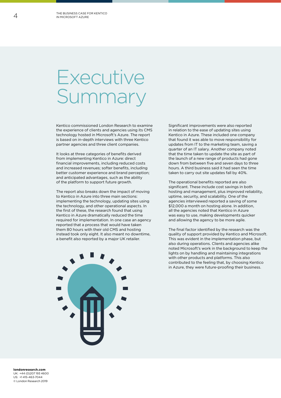### Executive Summary

Kentico commissioned London Research to examine the experience of clients and agencies using its CMS technology hosted in Microsoft's Azure. The report is based on in-depth interviews with three Kentico partner agencies and three client companies.

It looks at three categories of benefits derived from implementing Kentico in Azure: direct financial improvements, including reduced costs and increased revenues; softer benefits, including better customer experience and brand perception; and anticipated advantages, such as the ability of the platform to support future growth.

The report also breaks down the impact of moving to Kentico in Azure into three main sections: implementing the technology, updating sites using the technology, and other operational aspects. In the first of these, the research found that using Kentico in Azure dramatically reduced the time required for implementation. In one case an agency reported that a process that would have taken them 80 hours with their old CMS and hosting instead took only eight. It also meant no downtime, a benefit also reported by a major UK retailer.



Significant improvements were also reported in relation to the ease of updating sites using Kentico in Azure. These included one company that found it was able to move responsibility for updates from IT to the marketing team, saving a quarter of an IT salary. Another company noted that the time taken to update the site as part of the launch of a new range of products had gone down from between five and seven days to three hours. A third business said it had seen the time taken to carry out site updates fall by 40%.

The operational benefits reported are also significant. These include cost savings in both hosting and management, plus improved reliability, uptime, security, and scalability. One of the agencies interviewed reported a saving of some \$12,000 a month on hosting alone. In addition, all the agencies noted that Kentico in Azure was easy to use, making developments quicker and allowing the agency to be more agile.

The final factor identified by the research was the quality of support provided by Kentico and Microsoft. This was evident in the implementation phase, but also during operations. Clients and agencies alike noted Microsoft's work in the background to keep the lights on by handling and maintaining integrations with other products and platforms. This also contributed to the feeling that, by choosing Kentico in Azure, they were future-proofing their business.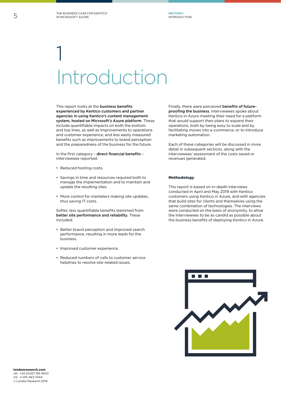## Introduction 1

This report looks at the business benefits experienced by Kentico customers and partner agencies in using Kentico's content management system, hosted on Microsoft's Azure platform. These include quantifiable impacts on both the bottom and top lines, as well as improvements to operations and customer experience, and less easily measured benefits such as improvements to brand perception and the preparedness of the business for the future.

In the first category – direct financial benefits – interviewees reported:

- Reduced hosting costs.
- Savings in time and resources required both to manage the implementation and to maintain and update the resulting sites.
- More control for marketers making site updates, thus saving IT costs.

Softer, less quantifiable benefits stemmed from better site performance and reliability. These included:

- Better brand perception and improved search performance, resulting in more leads for the business.
- Improved customer experience.
- Reduced numbers of calls to customer service helplines to resolve site-related issues.

Finally, there were perceived benefits of futureproofing the business. Interviewees spoke about Kentico in Azure meeting their need for a platform that would support their plans to expand their operations, both by being easy to scale and by facilitating moves into e-commerce, or to introduce marketing automation.

Each of these categories will be discussed in more detail in subsequent sections, along with the interviewees' assessment of the costs saved or revenues generated.

#### Methodology

This report is based on in-depth interviews conducted in April and May 2019 with Kentico customers using Kentico in Azure, and with agencies that build sites for clients and themselves using the same combination of technologies. The interviews were conducted on the basis of anonymity, to allow the interviewees to be as candid as possible about the business benefits of deploying Kentico in Azure.

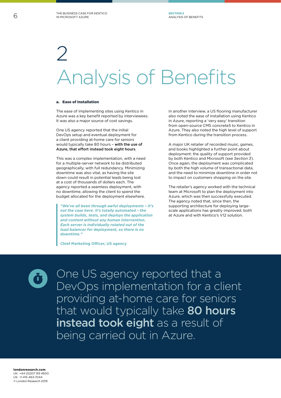SECTION 2 ANALYSIS OF BENEFITS

# Analysis of Benefits 2

#### a. Ease of Installation

The ease of implementing sites using Kentico in Azure was a key benefit reported by interviewees. It was also a major source of cost savings.

One US agency reported that the initial DevOps setup and eventual deployment for a client providing at-home care for seniors would typically take 80 hours – with the use of Azure, that effort instead took eight hours.

This was a complex implementation, with a need for a multiple-server network to be distributed geographically, with full redundancy. Minimizing downtime was also vital, as having the site down could result in potential leads being lost at a cost of thousands of dollars each. The agency reported a seamless deployment, with no downtime, allowing the client to spend the budget allocated for the deployment elsewhere.

*"We've all been through awful deployments – it's not the case here. It's totally automated – the system builds, tests, and deploys the application and content without any human intervention. Each server is individually rotated out of the load balancer for deployment, so there is no downtime."* 

**Chief Marketing Officer, US agency**

In another interview, a US flooring manufacturer also noted the ease of installation using Kentico in Azure, reporting a 'very easy' transition from open-source CMS concrete5 to Kentico in Azure. They also noted the high level of support from Kentico during the transition process.

A major UK retailer of recorded music, games, and books highlighted a further point about deployment: the quality of support provided by both Kentico and Microsoft (see *Section 3*). Once again, the deployment was complicated by both the high volume of transactional data, and the need to minimize downtime in order not to impact on customers shopping on the site.

The retailer's agency worked with the technical team at Microsoft to plan the deployment into Azure, which was then successfully executed. The agency noted that, since then, the supporting architecture for deploying largescale applications has greatly improved, both at Azure and with Kentico's V12 solution.



One US agency reported that a DevOps implementation for a client providing at-home care for seniors that would typically take 80 hours instead took eight as a result of being carried out in Azure.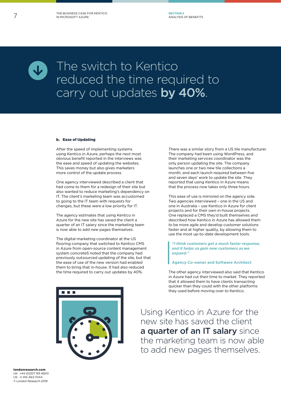

### The switch to Kentico reduced the time required to carry out updates by 40%.

#### b. Ease of Updating

After the speed of implementing systems using Kentico in Azure, perhaps the next most obvious benefit reported in the interviews was the ease and speed of updating the websites. This saves money but also gives marketers more control of the update process.

One agency interviewed described a client that had come to them for a redesign of their site but also wanted to reduce marketing's dependency on IT. The client's marketing team was accustomed to going to the IT team with requests for changes, but these were a low priority for IT.

The agency estimates that using Kentico in Azure for the new site has saved the client a quarter of an IT salary since the marketing team is now able to add new pages themselves.

The digital marketing coordinator at the US flooring company that switched to Kentico CMS in Azure from open-source content management system concrete5 noted that the company had previously outsourced updating of the site, but that the ease of use of the new version had enabled them to bring that in-house. It had also reduced the time required to carry out updates by 40%.

There was a similar story from a US tile manufacturer. The company had been using WordPress, and their marketing services coordinator was the only person updating the site. The company launches one or two new tile collections a month, and each launch required between five and seven days' work to update the site. They reported that using Kentico in Azure means that the process now takes only three hours.

This ease of use is mirrored on the agency side. Two agencies interviewed – one in the US and one in Australia – use Kentico in Azure for client projects and for their own in-house projects. One replaced a CMS they'd built themselves and described how Kentico in Azure has allowed them to be more agile and develop customer solutions faster and at higher quality, by allowing them to use the most up-to-date development tools.

*"I think customers get a much faster response, and it helps us gain new customers as we expand."* 

#### **Agency Co-owner and Software Architect**

The other agency interviewed also said that Kentico in Azure had cut their time to market. They reported that it allowed them to have clients transacting quicker than they could with the other platforms they used before moving over to Kentico.



Using Kentico in Azure for the new site has saved the client a quarter of an IT salary since the marketing team is now able to add new pages themselves.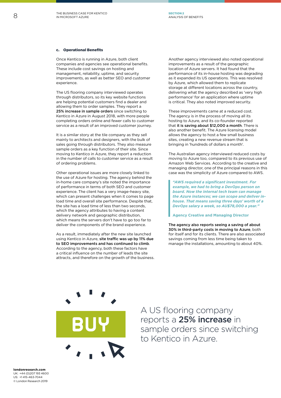SECTION 2 ANALYSIS OF BENEFITS

#### c. Operational Benefits

Once Kentico is running in Azure, both client companies and agencies see operational benefits. These include cost savings on hosting and management, reliability, uptime, and security improvements, as well as better SEO and customer experience.

The US flooring company interviewed operates through distributors, so its key website functions are helping potential customers find a dealer and allowing them to order samples. They report a 25% increase in sample orders since switching to Kentico in Azure in August 2018, with more people completing orders online and fewer calls to customer service as a result of an improved customer journey.

It is a similar story at the tile company as they sell mainly to architects and designers, with the bulk of sales going through distributors. They also measure sample orders as a key function of their site. Since moving to Kentico in Azure, they report a reduction in the number of calls to customer service as a result of ordering problems.

Other operational issues are more closely linked to the use of Azure for hosting. The agency behind the in-home care company's site noted the importance of performance in terms of both SEO and customer experience. The client has a very image-heavy site, which can present challenges when it comes to page load time and overall site performance. Despite that, the site has a load time of less than two seconds, which the agency attributes to having a content delivery network and geographic distribution, which means the servers don't have to go too far to deliver the components of the brand experience.

As a result, immediately after the new site launched using Kentico in Azure, site traffic was up by 11% due to SEO improvements and has continued to climb. According to the agency, both these factors have a critical influence on the number of leads the site attracts, and therefore on the growth of the business. Another agency interviewed also noted operational improvements as a result of the geographic location of Azure servers. It had found that the performance of its in-house hosting was degrading as it expanded its US operations. This was resolved by Azure, which allowed them to replicate storage at different locations across the country, delivering what the agency described as 'very high performance' for an application where uptime is critical. They also noted improved security.

These improvements came at a reduced cost. The agency is in the process of moving all its hosting to Azure, and its co-founder reported that it is saving about \$12,000 a month. There is also another benefit. The Azure licensing model allows the agency to host a few small business sites, creating a new revenue stream that is bringing in 'hundreds of dollars a month'.

The Australian agency interviewed reduced costs by moving to Azure too, compared to its previous use of Amazon Web Services. According to the creative and managing director, one of the principal reasons in this case was the simplicity of Azure compared to AWS.

*"AWS required a significant investment. For example, we had to bring a DevOps person on board. Now the internal tech team can manage the Azure instances; we can scope and deliver inhouse. That means saving three days' worth of a DevOps salary a week, so AU\$78,000 a year."*

#### **Agency Creative and Managing Director**

The agency also reports seeing a saving of about 30% in third-party costs in moving to Azure, both for itself and for its clients. There are also associated savings coming from less time being taken to manage the installations, amounting to about 40%.



A US flooring company reports a 25% increase in sample orders since switching to Kentico in Azure.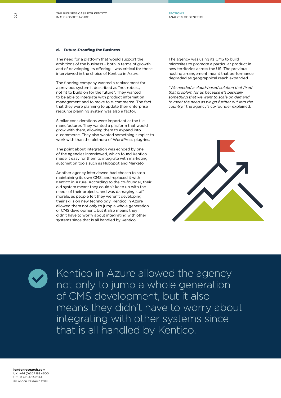SECTION 2 ANALYSIS OF BENEFITS

#### d. Future-Proofing the Business

The need for a platform that would support the ambitions of the business – both in terms of growth and of developing its offering – was critical for those interviewed in the choice of Kentico in Azure.

The flooring company wanted a replacement for a previous system it described as "not robust, not fit to build on for the future". They wanted to be able to integrate with product information management and to move to e-commerce. The fact that they were planning to update their enterprise resource planning system was also a factor.

Similar considerations were important at the tile manufacturer. They wanted a platform that would grow with them, allowing them to expand into e-commerce. They also wanted something simpler to work with than the plethora of WordPress plug-ins.

The point about integration was echoed by one of the agencies interviewed, which found Kentico made it easy for them to integrate with marketing automation tools such as HubSpot and Marketo.

Another agency interviewed had chosen to stop maintaining its own CMS, and replaced it with Kentico in Azure. According to the co-founder, their old system meant they couldn't keep up with the needs of their projects, and was damaging staff morale, as people felt they weren't developing their skills on new technology. Kentico in Azure allowed them not only to jump a whole generation of CMS development, but it also means they didn't have to worry about integrating with other systems since that is all handled by Kentico.

The agency was using its CMS to build microsites to promote a particular product in new territories across the US. The previous hosting arrangement meant that performance degraded as geographical reach expanded.

*"We needed a cloud-based solution that fixed that problem for us because it's basically something that we want to scale on demand to meet the need as we go further out into the country,"* the agency's co-founder explained.





Kentico in Azure allowed the agency not only to jump a whole generation of CMS development, but it also means they didn't have to worry about integrating with other systems since that is all handled by Kentico.

9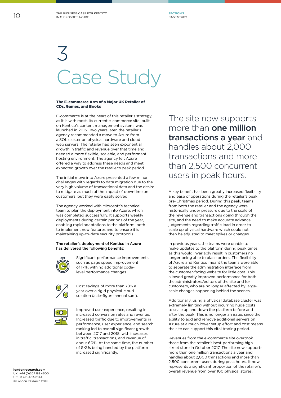SECTION 3 CASE STUDY

# Case Study 3

#### The E-commerce Arm of a Major UK Retailer of CDs, Games, and Books

E-commerce is at the heart of this retailer's strategy, as it is with most. Its current e-commerce site, built on Kentico's content management system, was launched in 2015. Two years later, the retailer's agency recommended a move to Azure from a SQL cluster on physical hardware and cloud web servers. The retailer had seen exponential growth in traffic and revenue over that time and needed a more flexible, scalable, and performant hosting environment. The agency felt Azure offered a way to address these needs and meet expected growth over the retailer's peak period.

The initial move into Azure presented a few minor challenges with regards to data migration due to the very high volume of transactional data and the desire to mitigate as much of the impact of downtime on customers, but they were easily solved.

The agency worked with Microsoft's technical team to plan the deployment into Azure, which was completed successfully. It supports weekly deployments during certain periods of the year, enabling rapid adaptations to the platform, both to implement new features and to ensure it is maintaining up-to-date security protocols.

#### The retailer's deployment of Kentico in Azure has delivered the following benefits:



Significant performance improvements, such as page speed improvement of 17%, with no additional codelevel performance changes.



Cost savings of more than 78% a year over a rigid physical-cloud solution (a six-figure annual sum).



Improved user experience, resulting in increased conversion rates and revenue. Increased traffic due to improvements in performance, user experience, and search ranking led to overall significant growth between 2017 and 2018, with increases in traffic, transactions, and revenue of about 60%. At the same time, the number of SKUs being handled by the platform increased significantly.

The site now supports more than **one million** transactions a vear and handles about 2,000 transactions and more than 2,500 concurrent users in peak hours.

A key benefit has been greatly increased flexibility and ease of operations during the retailer's peak pre-Christmas period. During this peak, teams from both the retailer and the agency were historically under pressure due to the scale of the revenue and transactions going through the site, and the need to make accurate advance judgements regarding traffic load in order to scale up physical hardware which could not then be adjusted to meet spikes or changes.

In previous years, the teams were unable to make updates to the platform during peak times as this would invariably result in customers no longer being able to place orders. The flexibility of Azure and Kentico meant the teams were able to separate the administration interface from the customer-facing website for little cost. This allowed greatly improved performance for both the administrators/editors of the site and for customers, who are no longer affected by largescale changes happening behind the scenes.

Additionally, using a physical database cluster was extremely limiting without incurring huge costs to scale up and down the platform before and after the peak. This is no longer an issue, since the ability to add and remove additional servers on Azure at a much lower setup effort and cost means the site can support this vital trading period.

Revenues from the e-commerce site overtook those from the retailer's best-performing high street store in October 2017. The site now supports more than one million transactions a year and handles about 2,000 transactions and more than 2,500 concurrent users during peak hours. It now represents a significant proportion of the retailer's overall revenue from over 100 physical stores.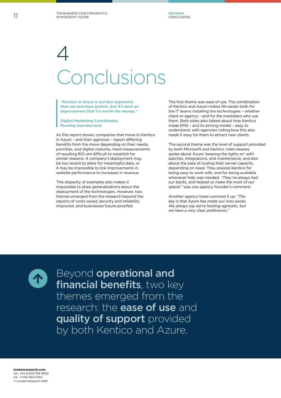## 4 Conclusions

*"Kentico in Azure is not less expensive than our previous system, but it's such an improvement that it's worth the money."*

**Digital Marketing Coordinator, flooring manufacturer**

As this report shows, companies that move to Kentico in Azure – and their agencies – report differing benefits from the move depending on their needs, priorities, and digital maturity. Hard measurements of resulting ROI are difficult to establish for similar reasons. A company's deployment may be too recent to allow for meaningful data, or it may be impossible to link improvements in website performance to increases in revenue.

This disparity of examples also makes it impossible to draw generalizations about the deployment of the technologies. However, two themes emerged from the research beyond the reports of costs saved, security and reliability improved, and businesses future-proofed.

The first theme was ease of use. The combination of Kentico and Azure makes life easier both for the IT teams installing the technologies – whether client or agency – and for the marketers who use them. Both sides also talked about how Kentico made EMS – and its pricing model – easy to understand, with agencies noting how this also made it easy for them to attract new clients.

The second theme was the level of support provided by both Microsoft and Kentico. Interviewees spoke about Azure 'keeping the lights on' with patches, integrations, and maintenance, and also about the ease of scaling their server capacity depending on need. They praised Kentico for being easy to work with, and for being available whenever help was needed. *"They've always had our backs, and helped us make the most of our spend,"* was one agency founder's comment.

Another agency head summed it up: *"The key is that Azure has made our lives easier. We always say we're hosting-agnostic, but we have a very clear preference."*

个

Beyond operational and financial benefits, two key themes emerged from the research: the **ease of use** and quality of support provided by both Kentico and Azure.

**londonresearch.com** UK: +44 (0)207 193 4600 US: +1 415-463-7044 © London Research 2019